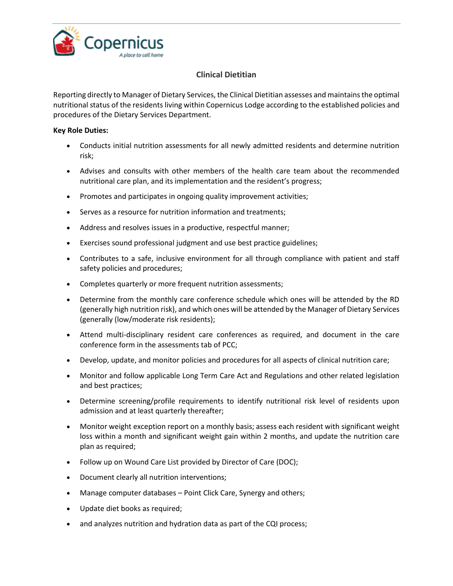

## **Clinical Dietitian**

Reporting directly to Manager of Dietary Services, the Clinical Dietitian assesses and maintains the optimal nutritional status of the residents living within Copernicus Lodge according to the established policies and procedures of the Dietary Services Department.

## **Key Role Duties:**

- Conducts initial nutrition assessments for all newly admitted residents and determine nutrition risk;
- Advises and consults with other members of the health care team about the recommended nutritional care plan, and its implementation and the resident's progress;
- Promotes and participates in ongoing quality improvement activities;
- Serves as a resource for nutrition information and treatments;
- Address and resolves issues in a productive, respectful manner;
- Exercises sound professional judgment and use best practice guidelines;
- Contributes to a safe, inclusive environment for all through compliance with patient and staff safety policies and procedures;
- Completes quarterly or more frequent nutrition assessments;
- Determine from the monthly care conference schedule which ones will be attended by the RD (generally high nutrition risk), and which ones will be attended by the Manager of Dietary Services (generally (low/moderate risk residents);
- Attend multi-disciplinary resident care conferences as required, and document in the care conference form in the assessments tab of PCC;
- Develop, update, and monitor policies and procedures for all aspects of clinical nutrition care;
- Monitor and follow applicable Long Term Care Act and Regulations and other related legislation and best practices;
- Determine screening/profile requirements to identify nutritional risk level of residents upon admission and at least quarterly thereafter;
- Monitor weight exception report on a monthly basis; assess each resident with significant weight loss within a month and significant weight gain within 2 months, and update the nutrition care plan as required;
- Follow up on Wound Care List provided by Director of Care (DOC);
- Document clearly all nutrition interventions;
- Manage computer databases Point Click Care, Synergy and others;
- Update diet books as required;
- and analyzes nutrition and hydration data as part of the CQI process;